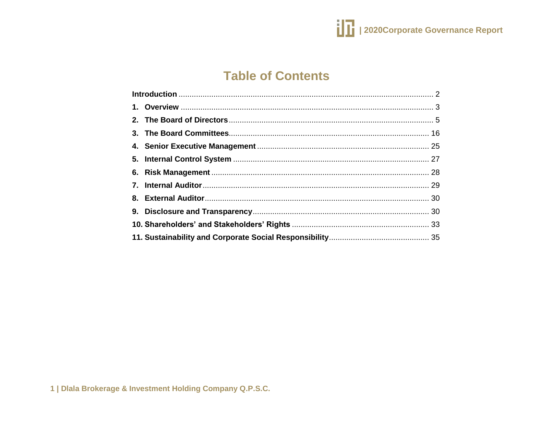

# **Table of Contents**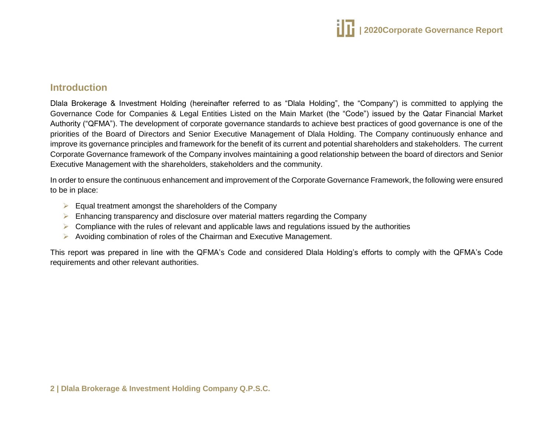

## <span id="page-1-0"></span>**Introduction**

Dlala Brokerage & Investment Holding (hereinafter referred to as "Dlala Holding", the "Company") is committed to applying the Governance Code for Companies & Legal Entities Listed on the Main Market (the "Code") issued by the Qatar Financial Market Authority ("QFMA"). The development of corporate governance standards to achieve best practices of good governance is one of the priorities of the Board of Directors and Senior Executive Management of Dlala Holding. The Company continuously enhance and improve its governance principles and framework for the benefit of its current and potential shareholders and stakeholders. The current Corporate Governance framework of the Company involves maintaining a good relationship between the board of directors and Senior Executive Management with the shareholders, stakeholders and the community.

In order to ensure the continuous enhancement and improvement of the Corporate Governance Framework, the following were ensured to be in place:

- $\triangleright$  Equal treatment amongst the shareholders of the Company
- $\triangleright$  Enhancing transparency and disclosure over material matters regarding the Company
- $\triangleright$  Compliance with the rules of relevant and applicable laws and regulations issued by the authorities
- $\triangleright$  Avoiding combination of roles of the Chairman and Executive Management.

This report was prepared in line with the QFMA's Code and considered Dlala Holding's efforts to comply with the QFMA's Code requirements and other relevant authorities.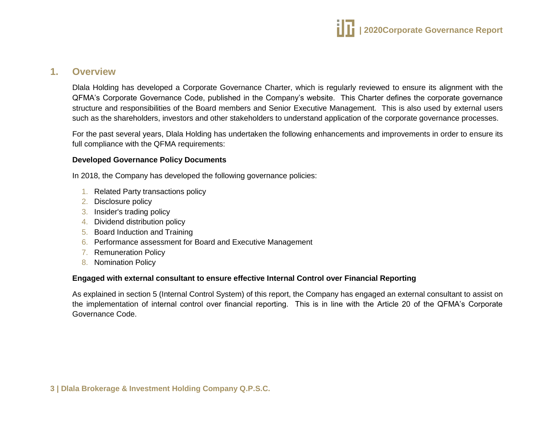

## <span id="page-2-0"></span>**1. Overview**

Dlala Holding has developed a Corporate Governance Charter, which is regularly reviewed to ensure its alignment with the QFMA's Corporate Governance Code, published in the Company's website. This Charter defines the corporate governance structure and responsibilities of the Board members and Senior Executive Management. This is also used by external users such as the shareholders, investors and other stakeholders to understand application of the corporate governance processes.

For the past several years, Dlala Holding has undertaken the following enhancements and improvements in order to ensure its full compliance with the QFMA requirements:

#### **Developed Governance Policy Documents**

In 2018, the Company has developed the following governance policies:

- 1. Related Party transactions policy
- 2. Disclosure policy
- 3. Insider's trading policy
- 4. Dividend distribution policy
- 5. Board Induction and Training
- 6. Performance assessment for Board and Executive Management
- 7. Remuneration Policy
- 8. Nomination Policy

#### **Engaged with external consultant to ensure effective Internal Control over Financial Reporting**

As explained in section 5 (Internal Control System) of this report, the Company has engaged an external consultant to assist on the implementation of internal control over financial reporting. This is in line with the Article 20 of the QFMA's Corporate Governance Code.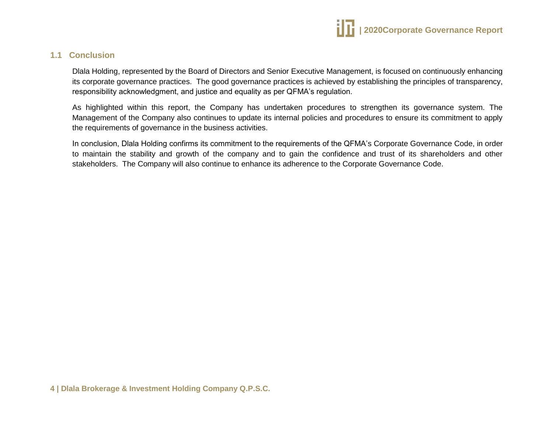

## **1.1 Conclusion**

Dlala Holding, represented by the Board of Directors and Senior Executive Management, is focused on continuously enhancing its corporate governance practices. The good governance practices is achieved by establishing the principles of transparency, responsibility acknowledgment, and justice and equality as per QFMA's regulation.

As highlighted within this report, the Company has undertaken procedures to strengthen its governance system. The Management of the Company also continues to update its internal policies and procedures to ensure its commitment to apply the requirements of governance in the business activities.

In conclusion, Dlala Holding confirms its commitment to the requirements of the QFMA's Corporate Governance Code, in order to maintain the stability and growth of the company and to gain the confidence and trust of its shareholders and other stakeholders. The Company will also continue to enhance its adherence to the Corporate Governance Code.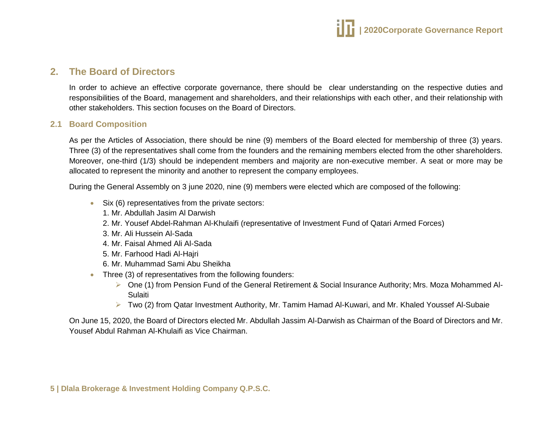

## <span id="page-4-0"></span>**2. The Board of Directors**

In order to achieve an effective corporate governance, there should be clear understanding on the respective duties and responsibilities of the Board, management and shareholders, and their relationships with each other, and their relationship with other stakeholders. This section focuses on the Board of Directors.

#### **2.1 Board Composition**

As per the Articles of Association, there should be nine (9) members of the Board elected for membership of three (3) years. Three (3) of the representatives shall come from the founders and the remaining members elected from the other shareholders. Moreover, one-third (1/3) should be independent members and majority are non-executive member. A seat or more may be allocated to represent the minority and another to represent the company employees.

During the General Assembly on 3 june 2020, nine (9) members were elected which are composed of the following:

- Six (6) representatives from the private sectors:
	- 1. Mr. Abdullah Jasim Al Darwish
	- 2. Mr. Yousef Abdel-Rahman Al-Khulaifi (representative of Investment Fund of Qatari Armed Forces)
	- 3. Mr. Ali Hussein Al-Sada
	- 4. Mr. Faisal Ahmed Ali Al-Sada
	- 5. Mr. Farhood Hadi Al-Hajri
	- 6. Mr. Muhammad Sami Abu Sheikha
- Three (3) of representatives from the following founders:
	- One (1) from Pension Fund of the General Retirement & Social Insurance Authority; Mrs. Moza Mohammed Al-Sulaiti
	- Two (2) from Qatar Investment Authority, Mr. Tamim Hamad Al-Kuwari, and Mr. Khaled Youssef Al-Subaie

On June 15, 2020, the Board of Directors elected Mr. Abdullah Jassim Al-Darwish as Chairman of the Board of Directors and Mr. Yousef Abdul Rahman Al-Khulaifi as Vice Chairman.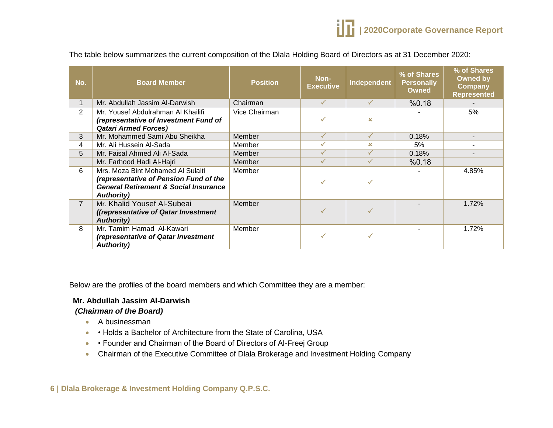The table below summarizes the current composition of the Dlala Holding Board of Directors as at 31 December 2020:

| No.            | <b>Board Member</b>                                                                                                                                   | <b>Position</b> | Non-<br><b>Executive</b> | Independent  | % of Shares<br><b>Personally</b><br><b>Owned</b> | % of Shares<br><b>Owned by</b><br><b>Company</b><br><b>Represented</b> |
|----------------|-------------------------------------------------------------------------------------------------------------------------------------------------------|-----------------|--------------------------|--------------|--------------------------------------------------|------------------------------------------------------------------------|
|                | Mr. Abdullah Jassim Al-Darwish                                                                                                                        | Chairman        | $\checkmark$             | $\checkmark$ | %0.18                                            |                                                                        |
| $\overline{2}$ | Mr. Yousef Abdulrahman Al Khailifi<br>(representative of Investment Fund of                                                                           | Vice Chairman   |                          | $\infty$     |                                                  | 5%                                                                     |
|                | <b>Qatari Armed Forces)</b>                                                                                                                           |                 |                          |              |                                                  |                                                                        |
| 3              | Mr. Mohammed Sami Abu Sheikha                                                                                                                         | Member          |                          | ✓            | 0.18%                                            |                                                                        |
| 4              | Mr. Ali Hussein Al-Sada                                                                                                                               | Member          | $\checkmark$             | x.           | 5%                                               |                                                                        |
| 5              | Mr. Faisal Ahmed Ali Al-Sada                                                                                                                          | Member          |                          | $\checkmark$ | 0.18%                                            |                                                                        |
|                | Mr. Farhood Hadi Al-Hajri                                                                                                                             | Member          |                          | ✓            | %0.18                                            |                                                                        |
| 6              | Mrs. Moza Bint Mohamed Al Sulaiti<br>(representative of Pension Fund of the<br><b>General Retirement &amp; Social Insurance</b><br><b>Authority</b> ) | Member          |                          |              |                                                  | 4.85%                                                                  |
| $\overline{7}$ | Mr. Khalid Yousef Al-Subeai<br>((representative of Qatar Investment)<br><b>Authority)</b>                                                             | Member          |                          |              |                                                  | 1.72%                                                                  |
| 8              | Mr. Tamim Hamad Al-Kawari<br>(representative of Qatar Investment<br><b>Authority)</b>                                                                 | Member          |                          |              |                                                  | 1.72%                                                                  |

Below are the profiles of the board members and which Committee they are a member:

#### **Mr. Abdullah Jassim Al-Darwish**

#### *(Chairman of the Board)*

- A businessman
- • Holds a Bachelor of Architecture from the State of Carolina, USA
- • Founder and Chairman of the Board of Directors of Al-Freej Group
- Chairman of the Executive Committee of Dlala Brokerage and Investment Holding Company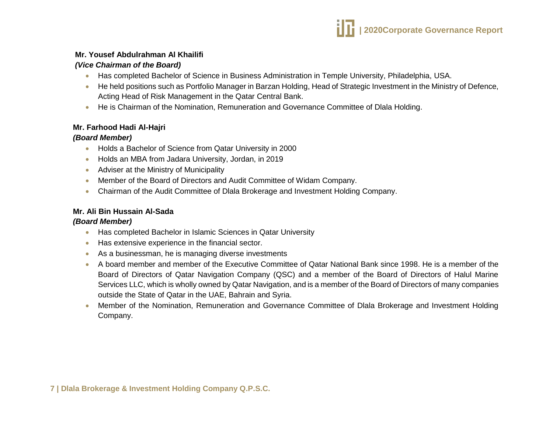#### **Mr. Yousef Abdulrahman Al Khailifi**

#### *(Vice Chairman of the Board)*

- Has completed Bachelor of Science in Business Administration in Temple University, Philadelphia, USA.
- He held positions such as Portfolio Manager in Barzan Holding, Head of Strategic Investment in the Ministry of Defence, Acting Head of Risk Management in the Qatar Central Bank.
- He is Chairman of the Nomination, Remuneration and Governance Committee of Dlala Holding.

## **Mr. Farhood Hadi Al-Hajri**

#### *(Board Member)*

- Holds a Bachelor of Science from Qatar University in 2000
- Holds an MBA from Jadara University, Jordan, in 2019
- Adviser at the Ministry of Municipality
- Member of the Board of Directors and Audit Committee of Widam Company.
- Chairman of the Audit Committee of Dlala Brokerage and Investment Holding Company.

## **Mr. Ali Bin Hussain Al-Sada**

#### *(Board Member)*

- Has completed Bachelor in Islamic Sciences in Qatar University
- Has extensive experience in the financial sector.
- As a businessman, he is managing diverse investments
- A board member and member of the Executive Committee of Qatar National Bank since 1998. He is a member of the Board of Directors of Qatar Navigation Company (QSC) and a member of the Board of Directors of Halul Marine Services LLC, which is wholly owned by Qatar Navigation, and is a member of the Board of Directors of many companies outside the State of Qatar in the UAE, Bahrain and Syria.
- Member of the Nomination, Remuneration and Governance Committee of Dlala Brokerage and Investment Holding Company.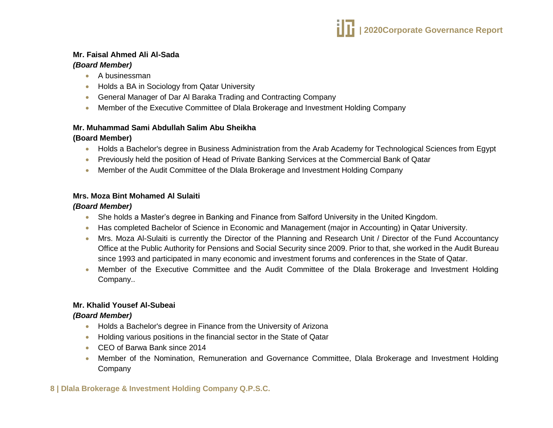#### **Mr. Faisal Ahmed Ali Al-Sada**  *(Board Member)*

- A businessman
- Holds a BA in Sociology from Qatar University
- General Manager of Dar Al Baraka Trading and Contracting Company
- Member of the Executive Committee of Dlala Brokerage and Investment Holding Company

## **Mr. Muhammad Sami Abdullah Salim Abu Sheikha**

## **(Board Member)**

- Holds a Bachelor's degree in Business Administration from the Arab Academy for Technological Sciences from Egypt
- **•** Previously held the position of Head of Private Banking Services at the Commercial Bank of Qatar
- Member of the Audit Committee of the Dlala Brokerage and Investment Holding Company

## **Mrs. Moza Bint Mohamed Al Sulaiti**

## *(Board Member)*

- She holds a Master's degree in Banking and Finance from Salford University in the United Kingdom.
- Has completed Bachelor of Science in Economic and Management (major in Accounting) in Qatar University.
- Mrs. Moza Al-Sulaiti is currently the Director of the Planning and Research Unit / Director of the Fund Accountancy Office at the Public Authority for Pensions and Social Security since 2009. Prior to that, she worked in the Audit Bureau since 1993 and participated in many economic and investment forums and conferences in the State of Qatar.
- Member of the Executive Committee and the Audit Committee of the Dlala Brokerage and Investment Holding Company..

# **Mr. Khalid Yousef Al-Subeai**

## *(Board Member)*

- Holds a Bachelor's degree in Finance from the University of Arizona
- Holding various positions in the financial sector in the State of Qatar
- CEO of Barwa Bank since 2014
- Member of the Nomination, Remuneration and Governance Committee, Dlala Brokerage and Investment Holding Company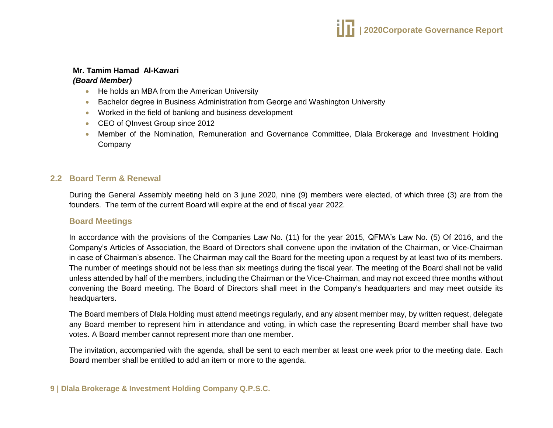

#### **Mr. Tamim Hamad Al-Kawari**

#### *(Board Member)*

- He holds an MBA from the American University
- Bachelor degree in Business Administration from George and Washington University
- Worked in the field of banking and business development
- CEO of QInvest Group since 2012
- Member of the Nomination, Remuneration and Governance Committee, Dlala Brokerage and Investment Holding Company

## **2.2 Board Term & Renewal**

During the General Assembly meeting held on 3 june 2020, nine (9) members were elected, of which three (3) are from the founders. The term of the current Board will expire at the end of fiscal year 2022.

#### **Board Meetings**

In accordance with the provisions of the Companies Law No. (11) for the year 2015, QFMA's Law No. (5) Of 2016, and the Company's Articles of Association, the Board of Directors shall convene upon the invitation of the Chairman, or Vice-Chairman in case of Chairman's absence. The Chairman may call the Board for the meeting upon a request by at least two of its members. The number of meetings should not be less than six meetings during the fiscal year. The meeting of the Board shall not be valid unless attended by half of the members, including the Chairman or the Vice-Chairman, and may not exceed three months without convening the Board meeting. The Board of Directors shall meet in the Company's headquarters and may meet outside its headquarters.

The Board members of Dlala Holding must attend meetings regularly, and any absent member may, by written request, delegate any Board member to represent him in attendance and voting, in which case the representing Board member shall have two votes. A Board member cannot represent more than one member.

The invitation, accompanied with the agenda, shall be sent to each member at least one week prior to the meeting date. Each Board member shall be entitled to add an item or more to the agenda.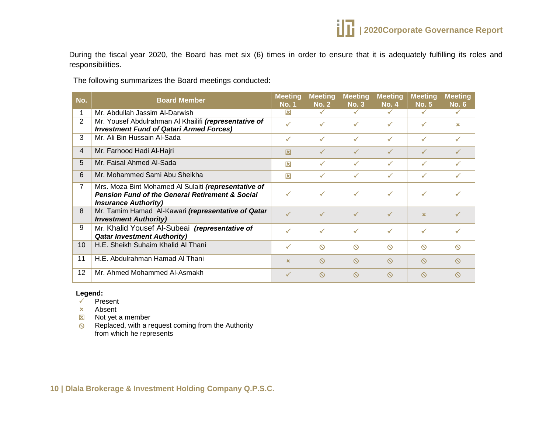

During the fiscal year 2020, the Board has met six (6) times in order to ensure that it is adequately fulfilling its roles and responsibilities.

The following summarizes the Board meetings conducted:

| No.            | <b>Board Member</b>                                                                                                                               | <b>Meeting</b><br><b>No. 1</b> | <b>Meeting</b><br><b>No. 2</b> | <b>Meeting</b><br><b>No. 3</b> | <b>Meeting</b><br><b>No. 4</b> | <b>Meeting</b><br><b>No. 5</b> | <b>Meeting</b><br><b>No. 6</b> |
|----------------|---------------------------------------------------------------------------------------------------------------------------------------------------|--------------------------------|--------------------------------|--------------------------------|--------------------------------|--------------------------------|--------------------------------|
| 1              | Mr. Abdullah Jassim Al-Darwish                                                                                                                    | 冈                              | ✓                              | $\checkmark$                   | ✓                              | ✓                              | $\checkmark$                   |
| $\overline{2}$ | Mr. Yousef Abdulrahman Al Khailifi (representative of<br><b>Investment Fund of Qatari Armed Forces)</b>                                           | ✓                              | ✓                              | $\checkmark$                   | $\checkmark$                   | ✓                              | $\infty$                       |
| 3              | Mr. Ali Bin Hussain Al-Sada                                                                                                                       | ✓                              | $\checkmark$                   | $\checkmark$                   | $\checkmark$                   | $\checkmark$                   | ✓                              |
| $\overline{4}$ | Mr. Farhood Hadi Al-Hajri                                                                                                                         | 冈                              | ✓                              | $\checkmark$                   | $\checkmark$                   | ✓                              |                                |
| 5              | Mr. Faisal Ahmed Al-Sada                                                                                                                          | 冈                              | ✓                              | $\checkmark$                   | ✓                              | ✓                              | ✓                              |
| 6              | Mr. Mohammed Sami Abu Sheikha                                                                                                                     | 区                              | ✓                              | $\checkmark$                   |                                | ✓                              |                                |
| $\overline{7}$ | Mrs. Moza Bint Mohamed Al Sulaiti (representative of<br><b>Pension Fund of the General Retirement &amp; Social</b><br><b>Insurance Authority)</b> |                                | ✓                              | $\checkmark$                   | ✓                              | ✓                              |                                |
| 8              | Mr. Tamim Hamad Al-Kawari (representative of Qatar<br><b>Investment Authority)</b>                                                                | $\checkmark$                   | $\checkmark$                   | $\checkmark$                   | $\sqrt{2}$                     | $\infty$                       |                                |
| 9              | Mr. Khalid Yousef Al-Subeai (representative of<br><b>Qatar Investment Authority)</b>                                                              |                                | ✓                              | $\checkmark$                   | $\checkmark$                   | ✓                              |                                |
| 10             | H.E. Sheikh Suhaim Khalid Al Thani                                                                                                                | ✓                              | $\infty$                       | $\infty$                       | $\infty$                       | $\infty$                       | $\circ$                        |
| 11             | H.E. Abdulrahman Hamad Al Thani                                                                                                                   | $\mathbf x$                    | $\infty$                       | $\circ$                        | $\infty$                       | $\infty$                       | $\infty$                       |
| 12             | Mr. Ahmed Mohammed Al-Asmakh                                                                                                                      | ✓                              | $\infty$                       | $\circ$                        | $\infty$                       | $\infty$                       | $\infty$                       |

#### **Legend:**

- $\checkmark$  Present
- Absent
- $\boxtimes$  Not yet a member
- $\otimes$  Replaced, with a request coming from the Authority from which he represents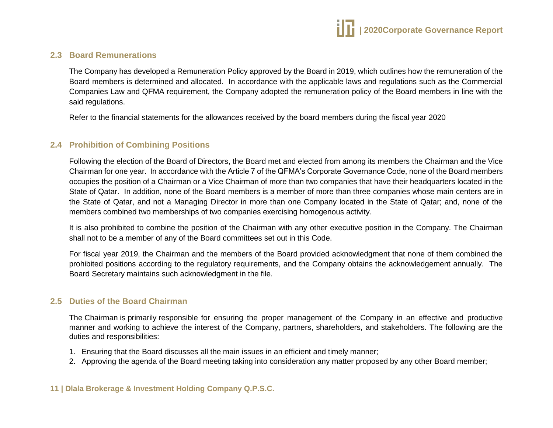## **2.3 Board Remunerations**

The Company has developed a Remuneration Policy approved by the Board in 2019, which outlines how the remuneration of the Board members is determined and allocated. In accordance with the applicable laws and regulations such as the Commercial Companies Law and QFMA requirement, the Company adopted the remuneration policy of the Board members in line with the said regulations.

Refer to the financial statements for the allowances received by the board members during the fiscal year 2020

## **2.4 Prohibition of Combining Positions**

Following the election of the Board of Directors, the Board met and elected from among its members the Chairman and the Vice Chairman for one year. In accordance with the Article 7 of the QFMA's Corporate Governance Code, none of the Board members occupies the position of a Chairman or a Vice Chairman of more than two companies that have their headquarters located in the State of Qatar. In addition, none of the Board members is a member of more than three companies whose main centers are in the State of Qatar, and not a Managing Director in more than one Company located in the State of Qatar; and, none of the members combined two memberships of two companies exercising homogenous activity.

It is also prohibited to combine the position of the Chairman with any other executive position in the Company. The Chairman shall not to be a member of any of the Board committees set out in this Code.

For fiscal year 2019, the Chairman and the members of the Board provided acknowledgment that none of them combined the prohibited positions according to the regulatory requirements, and the Company obtains the acknowledgement annually. The Board Secretary maintains such acknowledgment in the file.

#### **2.5 Duties of the Board Chairman**

The Chairman is primarily responsible for ensuring the proper management of the Company in an effective and productive manner and working to achieve the interest of the Company, partners, shareholders, and stakeholders. The following are the duties and responsibilities:

- 1. Ensuring that the Board discusses all the main issues in an efficient and timely manner;
- 2. Approving the agenda of the Board meeting taking into consideration any matter proposed by any other Board member;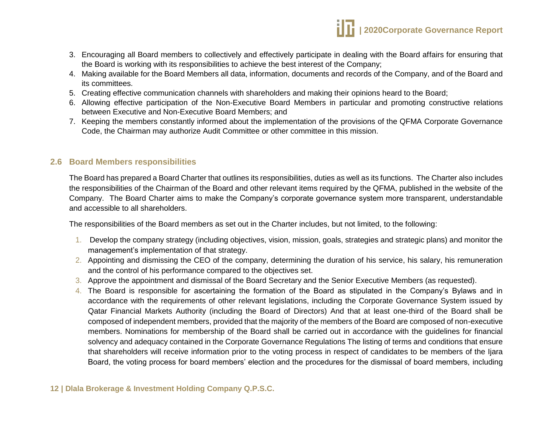- 3. Encouraging all Board members to collectively and effectively participate in dealing with the Board affairs for ensuring that the Board is working with its responsibilities to achieve the best interest of the Company;
- 4. Making available for the Board Members all data, information, documents and records of the Company, and of the Board and its committees.
- 5. Creating effective communication channels with shareholders and making their opinions heard to the Board;
- 6. Allowing effective participation of the Non-Executive Board Members in particular and promoting constructive relations between Executive and Non-Executive Board Members; and
- 7. Keeping the members constantly informed about the implementation of the provisions of the QFMA Corporate Governance Code, the Chairman may authorize Audit Committee or other committee in this mission.

## **2.6 Board Members responsibilities**

The Board has prepared a Board Charter that outlines its responsibilities, duties as well as its functions. The Charter also includes the responsibilities of the Chairman of the Board and other relevant items required by the QFMA, published in the website of the Company. The Board Charter aims to make the Company's corporate governance system more transparent, understandable and accessible to all shareholders.

The responsibilities of the Board members as set out in the Charter includes, but not limited, to the following:

- 1. Develop the company strategy (including objectives, vision, mission, goals, strategies and strategic plans) and monitor the management's implementation of that strategy.
- 2. Appointing and dismissing the CEO of the company, determining the duration of his service, his salary, his remuneration and the control of his performance compared to the objectives set.
- 3. Approve the appointment and dismissal of the Board Secretary and the Senior Executive Members (as requested).
- 4. The Board is responsible for ascertaining the formation of the Board as stipulated in the Company's Bylaws and in accordance with the requirements of other relevant legislations, including the Corporate Governance System issued by Qatar Financial Markets Authority (including the Board of Directors) And that at least one-third of the Board shall be composed of independent members, provided that the majority of the members of the Board are composed of non-executive members. Nominations for membership of the Board shall be carried out in accordance with the guidelines for financial solvency and adequacy contained in the Corporate Governance Regulations The listing of terms and conditions that ensure that shareholders will receive information prior to the voting process in respect of candidates to be members of the Ijara Board, the voting process for board members' election and the procedures for the dismissal of board members, including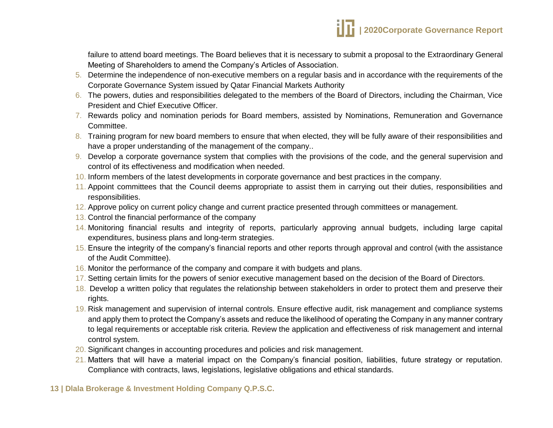failure to attend board meetings. The Board believes that it is necessary to submit a proposal to the Extraordinary General Meeting of Shareholders to amend the Company's Articles of Association.

- 5. Determine the independence of non-executive members on a regular basis and in accordance with the requirements of the Corporate Governance System issued by Qatar Financial Markets Authority
- 6. The powers, duties and responsibilities delegated to the members of the Board of Directors, including the Chairman, Vice President and Chief Executive Officer.
- 7. Rewards policy and nomination periods for Board members, assisted by Nominations, Remuneration and Governance Committee.
- 8. Training program for new board members to ensure that when elected, they will be fully aware of their responsibilities and have a proper understanding of the management of the company..
- 9. Develop a corporate governance system that complies with the provisions of the code, and the general supervision and control of its effectiveness and modification when needed.
- 10. Inform members of the latest developments in corporate governance and best practices in the company.
- 11. Appoint committees that the Council deems appropriate to assist them in carrying out their duties, responsibilities and responsibilities.
- 12. Approve policy on current policy change and current practice presented through committees or management.
- 13. Control the financial performance of the company
- 14. Monitoring financial results and integrity of reports, particularly approving annual budgets, including large capital expenditures, business plans and long-term strategies.
- 15. Ensure the integrity of the company's financial reports and other reports through approval and control (with the assistance of the Audit Committee).
- 16. Monitor the performance of the company and compare it with budgets and plans.
- 17. Setting certain limits for the powers of senior executive management based on the decision of the Board of Directors.
- 18. Develop a written policy that regulates the relationship between stakeholders in order to protect them and preserve their rights.
- 19. Risk management and supervision of internal controls. Ensure effective audit, risk management and compliance systems and apply them to protect the Company's assets and reduce the likelihood of operating the Company in any manner contrary to legal requirements or acceptable risk criteria. Review the application and effectiveness of risk management and internal control system.
- 20. Significant changes in accounting procedures and policies and risk management.
- 21. Matters that will have a material impact on the Company's financial position, liabilities, future strategy or reputation. Compliance with contracts, laws, legislations, legislative obligations and ethical standards.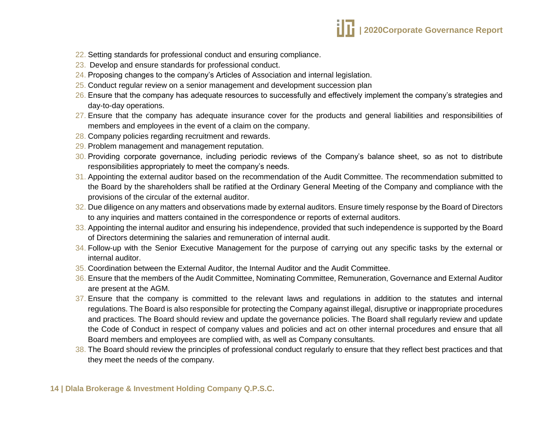

- 22. Setting standards for professional conduct and ensuring compliance.
- 23. Develop and ensure standards for professional conduct.
- 24. Proposing changes to the company's Articles of Association and internal legislation.
- 25. Conduct regular review on a senior management and development succession plan
- 26. Ensure that the company has adequate resources to successfully and effectively implement the company's strategies and day-to-day operations.
- 27. Ensure that the company has adequate insurance cover for the products and general liabilities and responsibilities of members and employees in the event of a claim on the company.
- 28. Company policies regarding recruitment and rewards.
- 29. Problem management and management reputation.
- 30. Providing corporate governance, including periodic reviews of the Company's balance sheet, so as not to distribute responsibilities appropriately to meet the company's needs.
- 31. Appointing the external auditor based on the recommendation of the Audit Committee. The recommendation submitted to the Board by the shareholders shall be ratified at the Ordinary General Meeting of the Company and compliance with the provisions of the circular of the external auditor.
- 32. Due diligence on any matters and observations made by external auditors. Ensure timely response by the Board of Directors to any inquiries and matters contained in the correspondence or reports of external auditors.
- 33. Appointing the internal auditor and ensuring his independence, provided that such independence is supported by the Board of Directors determining the salaries and remuneration of internal audit.
- 34. Follow-up with the Senior Executive Management for the purpose of carrying out any specific tasks by the external or internal auditor.
- 35. Coordination between the External Auditor, the Internal Auditor and the Audit Committee.
- 36. Ensure that the members of the Audit Committee, Nominating Committee, Remuneration, Governance and External Auditor are present at the AGM.
- 37. Ensure that the company is committed to the relevant laws and regulations in addition to the statutes and internal regulations. The Board is also responsible for protecting the Company against illegal, disruptive or inappropriate procedures and practices. The Board should review and update the governance policies. The Board shall regularly review and update the Code of Conduct in respect of company values and policies and act on other internal procedures and ensure that all Board members and employees are complied with, as well as Company consultants.
- 38. The Board should review the principles of professional conduct regularly to ensure that they reflect best practices and that they meet the needs of the company.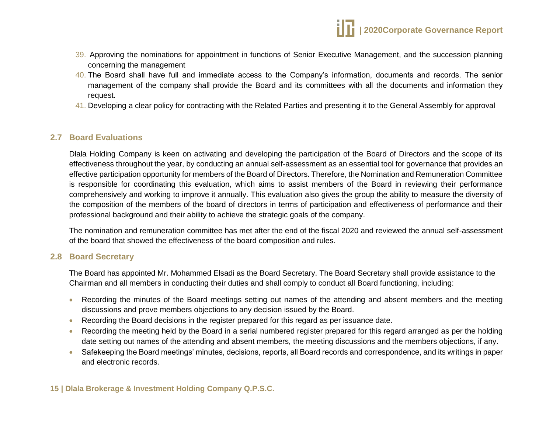- 39. Approving the nominations for appointment in functions of Senior Executive Management, and the succession planning concerning the management
- 40. The Board shall have full and immediate access to the Company's information, documents and records. The senior management of the company shall provide the Board and its committees with all the documents and information they request.
- 41. Developing a clear policy for contracting with the Related Parties and presenting it to the General Assembly for approval

#### **2.7 Board Evaluations**

Dlala Holding Company is keen on activating and developing the participation of the Board of Directors and the scope of its effectiveness throughout the year, by conducting an annual self-assessment as an essential tool for governance that provides an effective participation opportunity for members of the Board of Directors. Therefore, the Nomination and Remuneration Committee is responsible for coordinating this evaluation, which aims to assist members of the Board in reviewing their performance comprehensively and working to improve it annually. This evaluation also gives the group the ability to measure the diversity of the composition of the members of the board of directors in terms of participation and effectiveness of performance and their professional background and their ability to achieve the strategic goals of the company.

The nomination and remuneration committee has met after the end of the fiscal 2020 and reviewed the annual self-assessment of the board that showed the effectiveness of the board composition and rules.

#### **2.8 Board Secretary**

The Board has appointed Mr. Mohammed Elsadi as the Board Secretary. The Board Secretary shall provide assistance to the Chairman and all members in conducting their duties and shall comply to conduct all Board functioning, including:

- Recording the minutes of the Board meetings setting out names of the attending and absent members and the meeting discussions and prove members objections to any decision issued by the Board.
- Recording the Board decisions in the register prepared for this regard as per issuance date.
- Recording the meeting held by the Board in a serial numbered register prepared for this regard arranged as per the holding date setting out names of the attending and absent members, the meeting discussions and the members objections, if any.
- Safekeeping the Board meetings' minutes, decisions, reports, all Board records and correspondence, and its writings in paper and electronic records.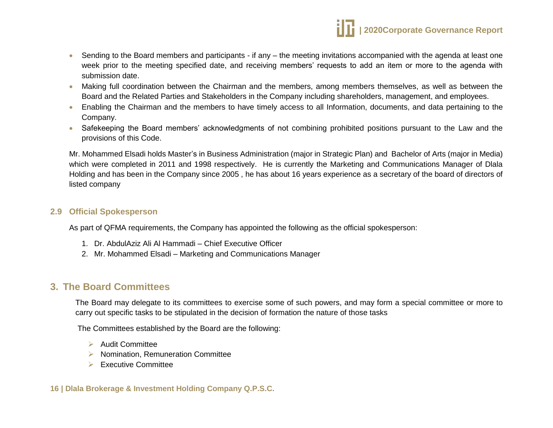

- Sending to the Board members and participants if any the meeting invitations accompanied with the agenda at least one week prior to the meeting specified date, and receiving members' requests to add an item or more to the agenda with submission date.
- Making full coordination between the Chairman and the members, among members themselves, as well as between the Board and the Related Parties and Stakeholders in the Company including shareholders, management, and employees.
- Enabling the Chairman and the members to have timely access to all Information, documents, and data pertaining to the Company.
- Safekeeping the Board members' acknowledgments of not combining prohibited positions pursuant to the Law and the provisions of this Code.

Mr. Mohammed Elsadi holds Master's in Business Administration (major in Strategic Plan) and Bachelor of Arts (major in Media) which were completed in 2011 and 1998 respectively. He is currently the Marketing and Communications Manager of Dlala Holding and has been in the Company since 2005 , he has about 16 years experience as a secretary of the board of directors of listed company

#### **2.9 Official Spokesperson**

As part of QFMA requirements, the Company has appointed the following as the official spokesperson:

- 1. Dr. AbdulAziz Ali Al Hammadi Chief Executive Officer
- 2. Mr. Mohammed Elsadi Marketing and Communications Manager

## <span id="page-15-0"></span>**3. The Board Committees**

The Board may delegate to its committees to exercise some of such powers, and may form a special committee or more to carry out specific tasks to be stipulated in the decision of formation the nature of those tasks

The Committees established by the Board are the following:

- $\blacktriangleright$  Audit Committee
- $\triangleright$  Nomination, Remuneration Committee
- Executive Committee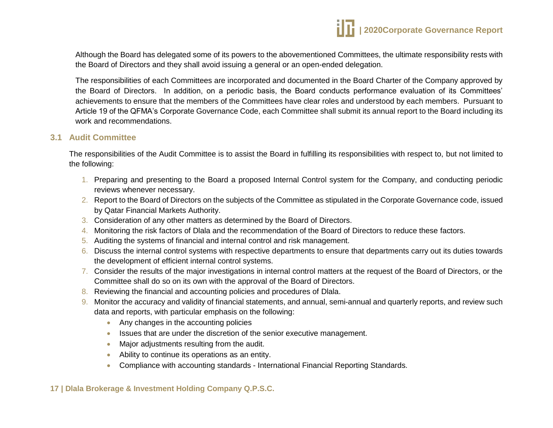# **| 2020Corporate Governance Report**

Although the Board has delegated some of its powers to the abovementioned Committees, the ultimate responsibility rests with the Board of Directors and they shall avoid issuing a general or an open-ended delegation.

The responsibilities of each Committees are incorporated and documented in the Board Charter of the Company approved by the Board of Directors. In addition, on a periodic basis, the Board conducts performance evaluation of its Committees' achievements to ensure that the members of the Committees have clear roles and understood by each members. Pursuant to Article 19 of the QFMA's Corporate Governance Code, each Committee shall submit its annual report to the Board including its work and recommendations.

#### **3.1 Audit Committee**

The responsibilities of the Audit Committee is to assist the Board in fulfilling its responsibilities with respect to, but not limited to the following:

- 1. Preparing and presenting to the Board a proposed Internal Control system for the Company, and conducting periodic reviews whenever necessary.
- 2. Report to the Board of Directors on the subjects of the Committee as stipulated in the Corporate Governance code, issued by Qatar Financial Markets Authority.
- 3. Consideration of any other matters as determined by the Board of Directors.
- 4. Monitoring the risk factors of Dlala and the recommendation of the Board of Directors to reduce these factors.
- 5. Auditing the systems of financial and internal control and risk management.
- 6. Discuss the internal control systems with respective departments to ensure that departments carry out its duties towards the development of efficient internal control systems.
- 7. Consider the results of the major investigations in internal control matters at the request of the Board of Directors, or the Committee shall do so on its own with the approval of the Board of Directors.
- 8. Reviewing the financial and accounting policies and procedures of Dlala.
- 9. Monitor the accuracy and validity of financial statements, and annual, semi-annual and quarterly reports, and review such data and reports, with particular emphasis on the following:
	- Any changes in the accounting policies
	- Issues that are under the discretion of the senior executive management.
	- Major adjustments resulting from the audit.
	- Ability to continue its operations as an entity.
	- Compliance with accounting standards International Financial Reporting Standards.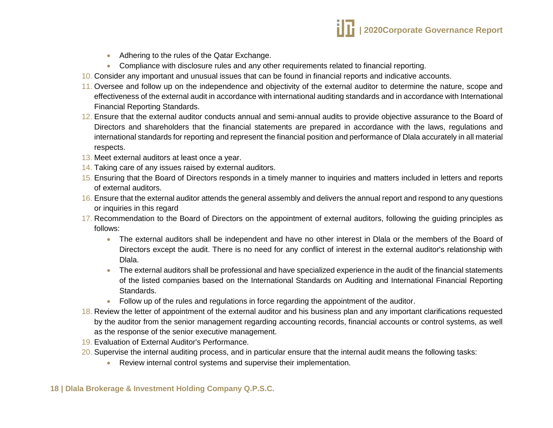- Adhering to the rules of the Qatar Exchange.
- Compliance with disclosure rules and any other requirements related to financial reporting.
- 10. Consider any important and unusual issues that can be found in financial reports and indicative accounts.
- 11. Oversee and follow up on the independence and objectivity of the external auditor to determine the nature, scope and effectiveness of the external audit in accordance with international auditing standards and in accordance with International Financial Reporting Standards.
- 12. Ensure that the external auditor conducts annual and semi-annual audits to provide objective assurance to the Board of Directors and shareholders that the financial statements are prepared in accordance with the laws, regulations and international standards for reporting and represent the financial position and performance of Dlala accurately in all material respects.
- 13. Meet external auditors at least once a year.
- 14. Taking care of any issues raised by external auditors.
- 15. Ensuring that the Board of Directors responds in a timely manner to inquiries and matters included in letters and reports of external auditors.
- 16. Ensure that the external auditor attends the general assembly and delivers the annual report and respond to any questions or inquiries in this regard
- 17. Recommendation to the Board of Directors on the appointment of external auditors, following the guiding principles as follows:
	- The external auditors shall be independent and have no other interest in Dlala or the members of the Board of Directors except the audit. There is no need for any conflict of interest in the external auditor's relationship with Dlala.
	- The external auditors shall be professional and have specialized experience in the audit of the financial statements of the listed companies based on the International Standards on Auditing and International Financial Reporting Standards.
	- Follow up of the rules and regulations in force regarding the appointment of the auditor.
- 18. Review the letter of appointment of the external auditor and his business plan and any important clarifications requested by the auditor from the senior management regarding accounting records, financial accounts or control systems, as well as the response of the senior executive management.
- 19. Evaluation of External Auditor's Performance.
- 20. Supervise the internal auditing process, and in particular ensure that the internal audit means the following tasks:
	- Review internal control systems and supervise their implementation.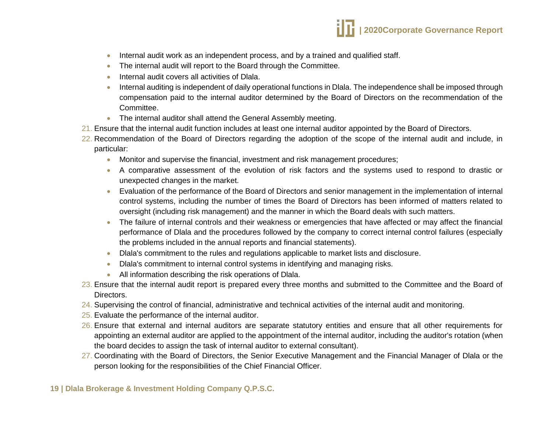

- Internal audit work as an independent process, and by a trained and qualified staff.
- The internal audit will report to the Board through the Committee.
- Internal audit covers all activities of Dlala.
- Internal auditing is independent of daily operational functions in Dlala. The independence shall be imposed through compensation paid to the internal auditor determined by the Board of Directors on the recommendation of the Committee.
- The internal auditor shall attend the General Assembly meeting.
- 21. Ensure that the internal audit function includes at least one internal auditor appointed by the Board of Directors.
- 22. Recommendation of the Board of Directors regarding the adoption of the scope of the internal audit and include, in particular:
	- **Monitor and supervise the financial, investment and risk management procedures;**
	- A comparative assessment of the evolution of risk factors and the systems used to respond to drastic or unexpected changes in the market.
	- Evaluation of the performance of the Board of Directors and senior management in the implementation of internal control systems, including the number of times the Board of Directors has been informed of matters related to oversight (including risk management) and the manner in which the Board deals with such matters.
	- The failure of internal controls and their weakness or emergencies that have affected or may affect the financial performance of Dlala and the procedures followed by the company to correct internal control failures (especially the problems included in the annual reports and financial statements).
	- Dlala's commitment to the rules and regulations applicable to market lists and disclosure.
	- Dlala's commitment to internal control systems in identifying and managing risks.
	- All information describing the risk operations of Dlala.
- 23. Ensure that the internal audit report is prepared every three months and submitted to the Committee and the Board of Directors.
- 24. Supervising the control of financial, administrative and technical activities of the internal audit and monitoring.
- 25. Evaluate the performance of the internal auditor.
- 26. Ensure that external and internal auditors are separate statutory entities and ensure that all other requirements for appointing an external auditor are applied to the appointment of the internal auditor, including the auditor's rotation (when the board decides to assign the task of internal auditor to external consultant).
- 27. Coordinating with the Board of Directors, the Senior Executive Management and the Financial Manager of Dlala or the person looking for the responsibilities of the Chief Financial Officer.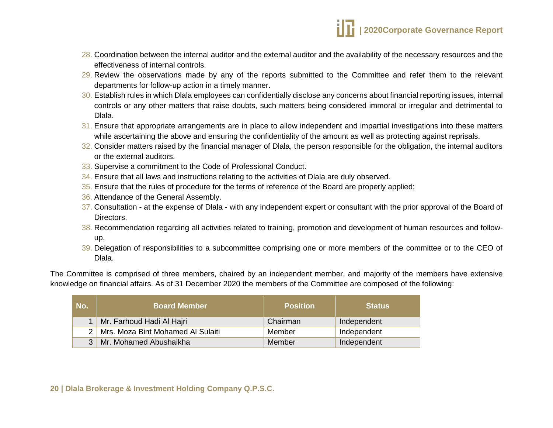- 28. Coordination between the internal auditor and the external auditor and the availability of the necessary resources and the effectiveness of internal controls.
- 29. Review the observations made by any of the reports submitted to the Committee and refer them to the relevant departments for follow-up action in a timely manner.
- 30. Establish rules in which Dlala employees can confidentially disclose any concerns about financial reporting issues, internal controls or any other matters that raise doubts, such matters being considered immoral or irregular and detrimental to Dlala.
- 31. Ensure that appropriate arrangements are in place to allow independent and impartial investigations into these matters while ascertaining the above and ensuring the confidentiality of the amount as well as protecting against reprisals.
- 32. Consider matters raised by the financial manager of Dlala, the person responsible for the obligation, the internal auditors or the external auditors.
- 33. Supervise a commitment to the Code of Professional Conduct.
- 34. Ensure that all laws and instructions relating to the activities of Dlala are duly observed.
- 35. Ensure that the rules of procedure for the terms of reference of the Board are properly applied;
- 36. Attendance of the General Assembly.
- 37. Consultation at the expense of Dlala with any independent expert or consultant with the prior approval of the Board of Directors.
- 38. Recommendation regarding all activities related to training, promotion and development of human resources and followup.
- 39. Delegation of responsibilities to a subcommittee comprising one or more members of the committee or to the CEO of Dlala.

The Committee is comprised of three members, chaired by an independent member, and majority of the members have extensive knowledge on financial affairs. As of 31 December 2020 the members of the Committee are composed of the following:

| No. | <b>Board Member</b>                   | <b>Position</b> | <b>Status</b> |
|-----|---------------------------------------|-----------------|---------------|
|     | Mr. Farhoud Hadi Al Hajri             | Chairman        | Independent   |
|     | 2   Mrs. Moza Bint Mohamed Al Sulaiti | Member          | Independent   |
| 3   | Mr. Mohamed Abushaikha                | Member          | Independent   |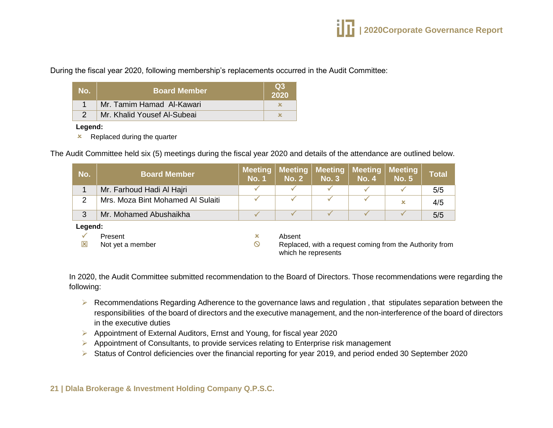During the fiscal year 2020, following membership's replacements occurred in the Audit Committee:

| No. | <b>Board Member</b>         | $\Omega$ 3<br>2020 |
|-----|-----------------------------|--------------------|
|     | Mr. Tamim Hamad Al-Kawari   |                    |
|     | Mr. Khalid Yousef Al-Subeai |                    |

**Legend:**

 $\mathbf{\times}$  Replaced during the quarter

The Audit Committee held six (5) meetings during the fiscal year 2020 and details of the attendance are outlined below.

| No.     | <b>Board Member</b>               | <b>Meeting</b><br><b>No. 1</b> | <b>Meeting</b><br><b>No. 2</b> | <b>Meeting</b><br><b>No. 3</b> | Meeting<br><b>No. 4</b> | <b>Meeting</b><br><b>No. 5</b>                          | <b>Total</b> |
|---------|-----------------------------------|--------------------------------|--------------------------------|--------------------------------|-------------------------|---------------------------------------------------------|--------------|
|         | Mr. Farhoud Hadi Al Hajri         |                                |                                |                                |                         |                                                         | 5/5          |
| 2       | Mrs. Moza Bint Mohamed Al Sulaiti |                                |                                |                                |                         | ×                                                       | 4/5          |
| 3       | Mr. Mohamed Abushaikha            |                                |                                |                                |                         |                                                         | 5/5          |
| Legend: |                                   |                                |                                |                                |                         |                                                         |              |
|         | Present                           | ×                              | Absent                         |                                |                         |                                                         |              |
| 区       | Not yet a member                  | $\circ$                        | which he represents            |                                |                         | Replaced, with a request coming from the Authority from |              |

In 2020, the Audit Committee submitted recommendation to the Board of Directors. Those recommendations were regarding the following:

- ▶ Recommendations Regarding Adherence to the governance laws and regulation, that stipulates separation between the responsibilities of the board of directors and the executive management, and the non-interference of the board of directors in the executive duties
- Appointment of External Auditors, Ernst and Young, for fiscal year 2020
- $\triangleright$  Appointment of Consultants, to provide services relating to Enterprise risk management
- Status of Control deficiencies over the financial reporting for year 2019, and period ended 30 September 2020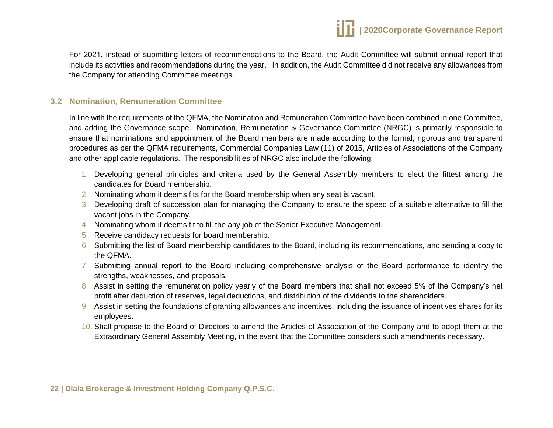

For 2021, instead of submitting letters of recommendations to the Board, the Audit Committee will submit annual report that include its activities and recommendations during the year. In addition, the Audit Committee did not receive any allowances from the Company for attending Committee meetings.

#### **3.2 Nomination, Remuneration Committee**

In line with the requirements of the QFMA, the Nomination and Remuneration Committee have been combined in one Committee, and adding the Governance scope. Nomination, Remuneration & Governance Committee (NRGC) is primarily responsible to ensure that nominations and appointment of the Board members are made according to the formal, rigorous and transparent procedures as per the QFMA requirements, Commercial Companies Law (11) of 2015, Articles of Associations of the Company and other applicable regulations. The responsibilities of NRGC also include the following:

- 1. Developing general principles and criteria used by the General Assembly members to elect the fittest among the candidates for Board membership.
- 2. Nominating whom it deems fits for the Board membership when any seat is vacant.
- 3. Developing draft of succession plan for managing the Company to ensure the speed of a suitable alternative to fill the vacant jobs in the Company.
- 4. Nominating whom it deems fit to fill the any job of the Senior Executive Management.
- 5. Receive candidacy requests for board membership.
- 6. Submitting the list of Board membership candidates to the Board, including its recommendations, and sending a copy to the QFMA.
- 7. Submitting annual report to the Board including comprehensive analysis of the Board performance to identify the strengths, weaknesses, and proposals.
- 8. Assist in setting the remuneration policy yearly of the Board members that shall not exceed 5% of the Company's net profit after deduction of reserves, legal deductions, and distribution of the dividends to the shareholders.
- 9. Assist in setting the foundations of granting allowances and incentives, including the issuance of incentives shares for its employees.
- 10. Shall propose to the Board of Directors to amend the Articles of Association of the Company and to adopt them at the Extraordinary General Assembly Meeting, in the event that the Committee considers such amendments necessary.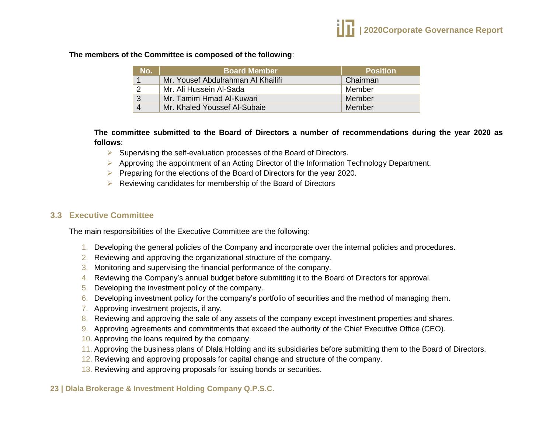#### **The members of the Committee is composed of the following**:

| No.      | <b>Board Member</b>                | <b>Position</b> |
|----------|------------------------------------|-----------------|
|          | Mr. Yousef Abdulrahman Al Khailifi | Chairman        |
| っ        | Mr. Ali Hussein Al-Sada            | Member          |
| 3        | Mr. Tamim Hmad Al-Kuwari           | Member          |
| $\Delta$ | Mr. Khaled Youssef Al-Subaie       | Member          |

**The committee submitted to the Board of Directors a number of recommendations during the year 2020 as follows**:

- $\triangleright$  Supervising the self-evaluation processes of the Board of Directors.
- Approving the appointment of an Acting Director of the Information Technology Department.
- $\triangleright$  Preparing for the elections of the Board of Directors for the year 2020.
- $\triangleright$  Reviewing candidates for membership of the Board of Directors

#### **3.3 Executive Committee**

The main responsibilities of the Executive Committee are the following:

- 1. Developing the general policies of the Company and incorporate over the internal policies and procedures.
- 2. Reviewing and approving the organizational structure of the company.
- 3. Monitoring and supervising the financial performance of the company.
- 4. Reviewing the Company's annual budget before submitting it to the Board of Directors for approval.
- 5. Developing the investment policy of the company.
- 6. Developing investment policy for the company's portfolio of securities and the method of managing them.
- 7. Approving investment projects, if any.
- 8. Reviewing and approving the sale of any assets of the company except investment properties and shares.
- 9. Approving agreements and commitments that exceed the authority of the Chief Executive Office (CEO).
- 10. Approving the loans required by the company.
- 11. Approving the business plans of Dlala Holding and its subsidiaries before submitting them to the Board of Directors.
- 12. Reviewing and approving proposals for capital change and structure of the company.
- 13. Reviewing and approving proposals for issuing bonds or securities.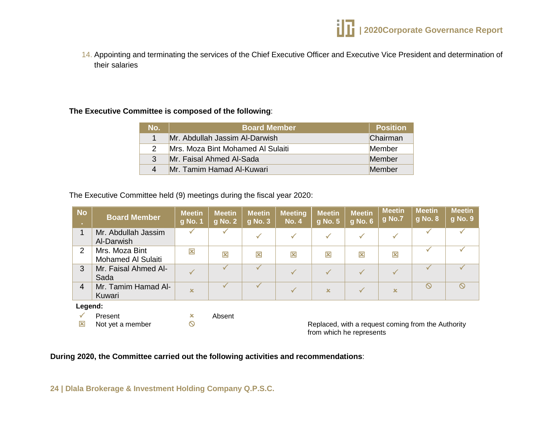

14. Appointing and terminating the services of the Chief Executive Officer and Executive Vice President and determination of their salaries

#### **The Executive Committee is composed of the following**:

| No.            | <b>Board Member</b> ا             | <b>Position</b> |
|----------------|-----------------------------------|-----------------|
|                | Mr. Abdullah Jassim Al-Darwish    | Chairman        |
| $\mathcal{P}$  | Mrs. Moza Bint Mohamed Al Sulaiti | Member          |
| 3              | Mr. Faisal Ahmed Al-Sada          | Member          |
| $\overline{4}$ | Mr. Tamim Hamad Al-Kuwari         | Member          |

The Executive Committee held (9) meetings during the fiscal year 2020:

| <b>No</b><br><b>COL</b> | <b>Board Member</b>                         | <b>Meetin</b><br>g No. 1                    | <b>Meetin</b><br>g No. 2 | <b>Meetin</b><br>$g$ No. 3 $^{\prime}$ | <b>Meeting</b><br><b>No. 4</b> | <b>Meetin</b><br>g No. 5 | <b>Meetin</b><br>g No. 6 | <b>Meetin</b><br>g No.7 | <b>Meetin</b><br>g No. 8                           | <b>Meetin</b><br>g No. 9 |
|-------------------------|---------------------------------------------|---------------------------------------------|--------------------------|----------------------------------------|--------------------------------|--------------------------|--------------------------|-------------------------|----------------------------------------------------|--------------------------|
| 1                       | Mr. Abdullah Jassim<br>Al-Darwish           |                                             |                          | $\checkmark$                           | $\checkmark$                   |                          |                          |                         |                                                    |                          |
| $\overline{2}$          | Mrs. Moza Bint<br><b>Mohamed Al Sulaiti</b> | 図                                           | 図                        | 区                                      | 区                              | 図                        | 図                        | $\overline{\mathbf{x}}$ |                                                    |                          |
| 3                       | Mr. Faisal Ahmed Al-<br>Sada                |                                             |                          |                                        | $\checkmark$                   |                          |                          |                         |                                                    |                          |
| $\overline{4}$          | Mr. Tamim Hamad Al-<br>Kuwari               | x                                           |                          |                                        | $\checkmark$                   | $\overline{\mathbf{x}}$  |                          | $\pmb{\times}$          | $\circ$                                            | $\circ$                  |
| Legend:                 |                                             |                                             |                          |                                        |                                |                          |                          |                         |                                                    |                          |
| $\mathbf{x}$            | Present<br>Not yet a member                 | $\boldsymbol{\mathsf{x}}$<br>$\circledcirc$ | Absent                   |                                        |                                |                          |                          |                         | Replaced, with a request coming from the Authority |                          |

Replaced, with a request coming from the Authority from which he represents

**During 2020, the Committee carried out the following activities and recommendations**: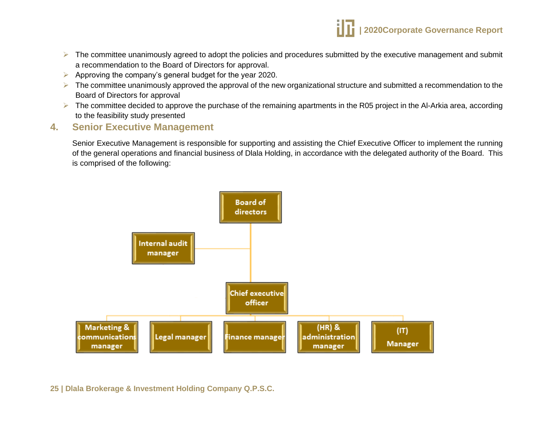

- $\triangleright$  The committee unanimously agreed to adopt the policies and procedures submitted by the executive management and submit a recommendation to the Board of Directors for approval.
- $\triangleright$  Approving the company's general budget for the year 2020.
- $\triangleright$  The committee unanimously approved the approval of the new organizational structure and submitted a recommendation to the Board of Directors for approval
- $\triangleright$  The committee decided to approve the purchase of the remaining apartments in the R05 project in the Al-Arkia area, according to the feasibility study presented

## <span id="page-24-0"></span>**4. Senior Executive Management**

Senior Executive Management is responsible for supporting and assisting the Chief Executive Officer to implement the running of the general operations and financial business of Dlala Holding, in accordance with the delegated authority of the Board. This is comprised of the following:

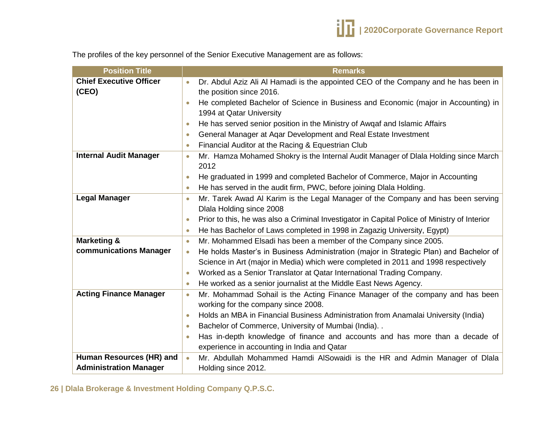

The profiles of the key personnel of the Senior Executive Management are as follows:

| <b>Position Title</b>          | <b>Remarks</b>                                                                                            |
|--------------------------------|-----------------------------------------------------------------------------------------------------------|
| <b>Chief Executive Officer</b> | Dr. Abdul Aziz Ali Al Hamadi is the appointed CEO of the Company and he has been in                       |
| (CEO)                          | the position since 2016.                                                                                  |
|                                | He completed Bachelor of Science in Business and Economic (major in Accounting) in                        |
|                                | 1994 at Qatar University                                                                                  |
|                                | He has served senior position in the Ministry of Awqaf and Islamic Affairs<br>$\bullet$                   |
|                                | General Manager at Aqar Development and Real Estate Investment<br>$\bullet$                               |
|                                | Financial Auditor at the Racing & Equestrian Club<br>$\bullet$                                            |
| <b>Internal Audit Manager</b>  | Mr. Hamza Mohamed Shokry is the Internal Audit Manager of Dlala Holding since March<br>$\bullet$          |
|                                | 2012                                                                                                      |
|                                | He graduated in 1999 and completed Bachelor of Commerce, Major in Accounting                              |
|                                | He has served in the audit firm, PWC, before joining Dlala Holding.                                       |
| <b>Legal Manager</b>           | Mr. Tarek Awad Al Karim is the Legal Manager of the Company and has been serving<br>$\bullet$             |
|                                | Dlala Holding since 2008                                                                                  |
|                                | Prior to this, he was also a Criminal Investigator in Capital Police of Ministry of Interior<br>$\bullet$ |
|                                | He has Bachelor of Laws completed in 1998 in Zagazig University, Egypt)<br>$\bullet$                      |
| <b>Marketing &amp;</b>         | Mr. Mohammed Elsadi has been a member of the Company since 2005.<br>$\bullet$                             |
| communications Manager         | He holds Master's in Business Administration (major in Strategic Plan) and Bachelor of<br>$\bullet$       |
|                                | Science in Art (major in Media) which were completed in 2011 and 1998 respectively                        |
|                                | Worked as a Senior Translator at Qatar International Trading Company.                                     |
|                                | He worked as a senior journalist at the Middle East News Agency.<br>$\bullet$                             |
| <b>Acting Finance Manager</b>  | Mr. Mohammad Sohail is the Acting Finance Manager of the company and has been<br>$\bullet$                |
|                                | working for the company since 2008.                                                                       |
|                                | Holds an MBA in Financial Business Administration from Anamalai University (India)<br>$\bullet$           |
|                                | Bachelor of Commerce, University of Mumbai (India). .<br>$\bullet$                                        |
|                                | Has in-depth knowledge of finance and accounts and has more than a decade of                              |
|                                | experience in accounting in India and Qatar                                                               |
| Human Resources (HR) and       | Mr. Abdullah Mohammed Hamdi AlSowaidi is the HR and Admin Manager of Dlala<br>$\bullet$                   |
| <b>Administration Manager</b>  | Holding since 2012.                                                                                       |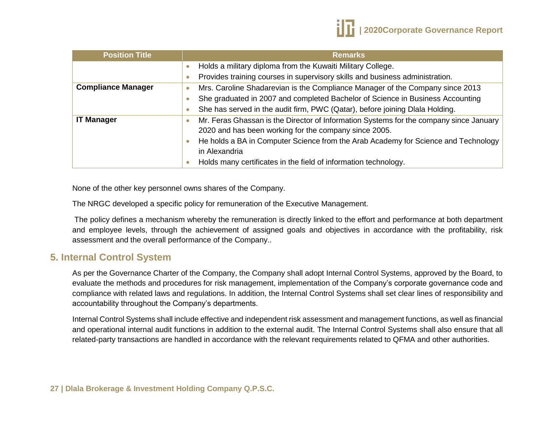

| <b>Position Title</b>     | <b>Remarks</b>                                                                         |
|---------------------------|----------------------------------------------------------------------------------------|
|                           | Holds a military diploma from the Kuwaiti Military College.                            |
|                           | Provides training courses in supervisory skills and business administration.           |
| <b>Compliance Manager</b> | Mrs. Caroline Shadarevian is the Compliance Manager of the Company since 2013<br>0     |
|                           | She graduated in 2007 and completed Bachelor of Science in Business Accounting         |
|                           | She has served in the audit firm, PWC (Qatar), before joining Dlala Holding.           |
| <b>IT Manager</b>         | Mr. Feras Ghassan is the Director of Information Systems for the company since January |
|                           | 2020 and has been working for the company since 2005.                                  |
|                           | He holds a BA in Computer Science from the Arab Academy for Science and Technology     |
|                           | in Alexandria                                                                          |
|                           | Holds many certificates in the field of information technology.                        |

None of the other key personnel owns shares of the Company.

The NRGC developed a specific policy for remuneration of the Executive Management.

The policy defines a mechanism whereby the remuneration is directly linked to the effort and performance at both department and employee levels, through the achievement of assigned goals and objectives in accordance with the profitability, risk assessment and the overall performance of the Company..

# <span id="page-26-0"></span>**5. Internal Control System**

As per the Governance Charter of the Company, the Company shall adopt Internal Control Systems, approved by the Board, to evaluate the methods and procedures for risk management, implementation of the Company's corporate governance code and compliance with related laws and regulations. In addition, the Internal Control Systems shall set clear lines of responsibility and accountability throughout the Company's departments.

Internal Control Systems shall include effective and independent risk assessment and management functions, as well as financial and operational internal audit functions in addition to the external audit. The Internal Control Systems shall also ensure that all related-party transactions are handled in accordance with the relevant requirements related to QFMA and other authorities.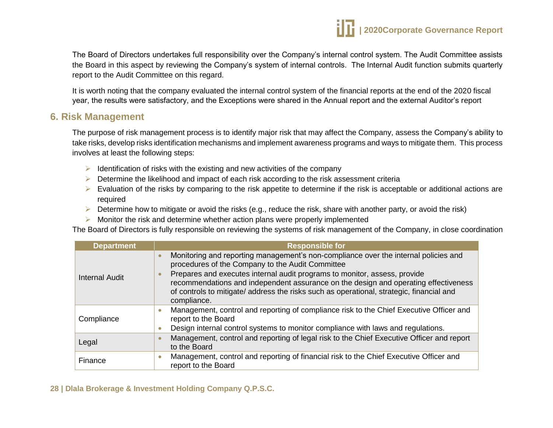

The Board of Directors undertakes full responsibility over the Company's internal control system. The Audit Committee assists the Board in this aspect by reviewing the Company's system of internal controls. The Internal Audit function submits quarterly report to the Audit Committee on this regard.

It is worth noting that the company evaluated the internal control system of the financial reports at the end of the 2020 fiscal year, the results were satisfactory, and the Exceptions were shared in the Annual report and the external Auditor's report

## <span id="page-27-0"></span>**6. Risk Management**

The purpose of risk management process is to identify major risk that may affect the Company, assess the Company's ability to take risks, develop risks identification mechanisms and implement awareness programs and ways to mitigate them. This process involves at least the following steps:

- $\triangleright$  Identification of risks with the existing and new activities of the company
- $\triangleright$  Determine the likelihood and impact of each risk according to the risk assessment criteria
- $\triangleright$  Evaluation of the risks by comparing to the risk appetite to determine if the risk is acceptable or additional actions are required
- $\triangleright$  Determine how to mitigate or avoid the risks (e.g., reduce the risk, share with another party, or avoid the risk)
- $\triangleright$  Monitor the risk and determine whether action plans were properly implemented

The Board of Directors is fully responsible on reviewing the systems of risk management of the Company, in close coordination

| <b>Department</b>     | <b>Responsible for</b>                                                                                                                                                                                                                                                                                                                                                                                                 |
|-----------------------|------------------------------------------------------------------------------------------------------------------------------------------------------------------------------------------------------------------------------------------------------------------------------------------------------------------------------------------------------------------------------------------------------------------------|
| <b>Internal Audit</b> | Monitoring and reporting management's non-compliance over the internal policies and<br>procedures of the Company to the Audit Committee<br>Prepares and executes internal audit programs to monitor, assess, provide<br>recommendations and independent assurance on the design and operating effectiveness<br>of controls to mitigate/ address the risks such as operational, strategic, financial and<br>compliance. |
| Compliance            | Management, control and reporting of compliance risk to the Chief Executive Officer and<br>report to the Board<br>Design internal control systems to monitor compliance with laws and regulations.                                                                                                                                                                                                                     |
| Legal                 | Management, control and reporting of legal risk to the Chief Executive Officer and report<br>to the Board                                                                                                                                                                                                                                                                                                              |
| Finance               | Management, control and reporting of financial risk to the Chief Executive Officer and<br>report to the Board                                                                                                                                                                                                                                                                                                          |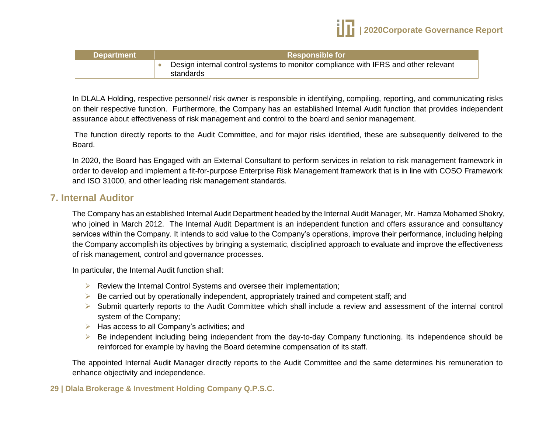

| <b>Department</b> | <b>Responsible for</b>                                                                          |  |
|-------------------|-------------------------------------------------------------------------------------------------|--|
|                   | Design internal control systems to monitor compliance with IFRS and other relevant<br>standards |  |

In DLALA Holding, respective personnel/ risk owner is responsible in identifying, compiling, reporting, and communicating risks on their respective function. Furthermore, the Company has an established Internal Audit function that provides independent assurance about effectiveness of risk management and control to the board and senior management.

The function directly reports to the Audit Committee, and for major risks identified, these are subsequently delivered to the Board.

In 2020, the Board has Engaged with an External Consultant to perform services in relation to risk management framework in order to develop and implement a fit-for-purpose Enterprise Risk Management framework that is in line with COSO Framework and ISO 31000, and other leading risk management standards.

## <span id="page-28-0"></span>**7. Internal Auditor**

The Company has an established Internal Audit Department headed by the Internal Audit Manager, Mr. Hamza Mohamed Shokry, who joined in March 2012. The Internal Audit Department is an independent function and offers assurance and consultancy services within the Company. It intends to add value to the Company's operations, improve their performance, including helping the Company accomplish its objectives by bringing a systematic, disciplined approach to evaluate and improve the effectiveness of risk management, control and governance processes.

In particular, the Internal Audit function shall:

- $\triangleright$  Review the Internal Control Systems and oversee their implementation;
- $\triangleright$  Be carried out by operationally independent, appropriately trained and competent staff; and
- $\triangleright$  Submit quarterly reports to the Audit Committee which shall include a review and assessment of the internal control system of the Company;
- $\triangleright$  Has access to all Company's activities; and
- ▶ Be independent including being independent from the day-to-day Company functioning. Its independence should be reinforced for example by having the Board determine compensation of its staff.

The appointed Internal Audit Manager directly reports to the Audit Committee and the same determines his remuneration to enhance objectivity and independence.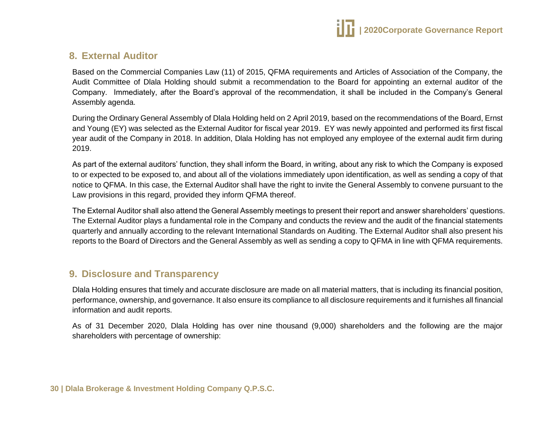

# <span id="page-29-0"></span>**8. External Auditor**

Based on the Commercial Companies Law (11) of 2015, QFMA requirements and Articles of Association of the Company, the Audit Committee of Dlala Holding should submit a recommendation to the Board for appointing an external auditor of the Company. Immediately, after the Board's approval of the recommendation, it shall be included in the Company's General Assembly agenda.

During the Ordinary General Assembly of Dlala Holding held on 2 April 2019, based on the recommendations of the Board, Ernst and Young (EY) was selected as the External Auditor for fiscal year 2019. EY was newly appointed and performed its first fiscal year audit of the Company in 2018. In addition, Dlala Holding has not employed any employee of the external audit firm during 2019.

As part of the external auditors' function, they shall inform the Board, in writing, about any risk to which the Company is exposed to or expected to be exposed to, and about all of the violations immediately upon identification, as well as sending a copy of that notice to QFMA. In this case, the External Auditor shall have the right to invite the General Assembly to convene pursuant to the Law provisions in this regard, provided they inform QFMA thereof.

The External Auditor shall also attend the General Assembly meetings to present their report and answer shareholders' questions. The External Auditor plays a fundamental role in the Company and conducts the review and the audit of the financial statements quarterly and annually according to the relevant International Standards on Auditing. The External Auditor shall also present his reports to the Board of Directors and the General Assembly as well as sending a copy to QFMA in line with QFMA requirements.

# <span id="page-29-1"></span>**9. Disclosure and Transparency**

Dlala Holding ensures that timely and accurate disclosure are made on all material matters, that is including its financial position, performance, ownership, and governance. It also ensure its compliance to all disclosure requirements and it furnishes all financial information and audit reports.

As of 31 December 2020, Dlala Holding has over nine thousand (9,000) shareholders and the following are the major shareholders with percentage of ownership: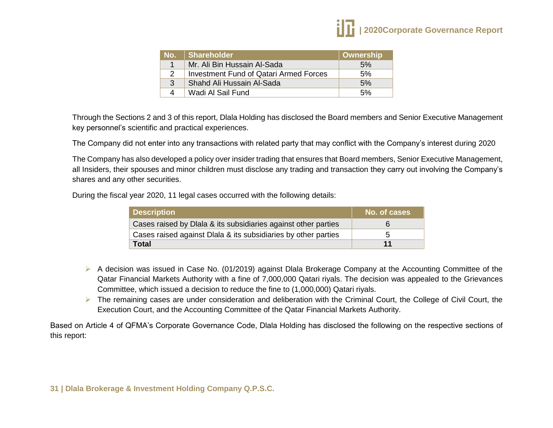| / No. Z  | Shareholder                                   | Ownership |
|----------|-----------------------------------------------|-----------|
|          | Mr. Ali Bin Hussain Al-Sada                   | 5%        |
| 2        | <b>Investment Fund of Qatari Armed Forces</b> | 5%        |
| 3        | Shahd Ali Hussain Al-Sada                     | 5%        |
| $\Delta$ | Wadi Al Sail Fund                             | 5%        |

Through the Sections 2 and 3 of this report, Dlala Holding has disclosed the Board members and Senior Executive Management key personnel's scientific and practical experiences.

The Company did not enter into any transactions with related party that may conflict with the Company's interest during 2020

The Company has also developed a policy over insider trading that ensures that Board members, Senior Executive Management, all Insiders, their spouses and minor children must disclose any trading and transaction they carry out involving the Company's shares and any other securities.

During the fiscal year 2020, 11 legal cases occurred with the following details:

| <b>Description</b>                                             | No. of cases |
|----------------------------------------------------------------|--------------|
| Cases raised by Dlala & its subsidiaries against other parties | 6            |
| Cases raised against Dlala & its subsidiaries by other parties | 5            |
| <b>Total</b>                                                   | 11           |

- A decision was issued in Case No. (01/2019) against Dlala Brokerage Company at the Accounting Committee of the Qatar Financial Markets Authority with a fine of 7,000,000 Qatari riyals. The decision was appealed to the Grievances Committee, which issued a decision to reduce the fine to (1,000,000) Qatari riyals.
- $\triangleright$  The remaining cases are under consideration and deliberation with the Criminal Court, the College of Civil Court, the Execution Court, and the Accounting Committee of the Qatar Financial Markets Authority.

Based on Article 4 of QFMA's Corporate Governance Code, Dlala Holding has disclosed the following on the respective sections of this report: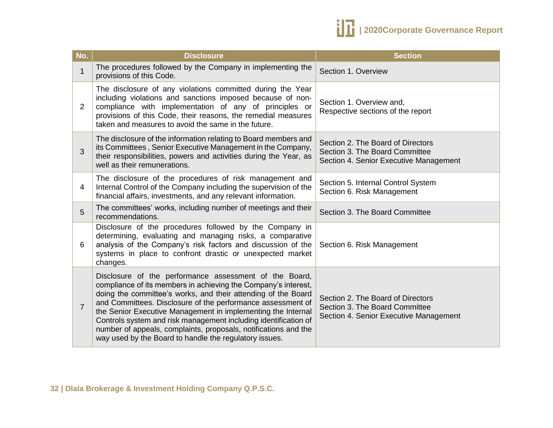

| No.            | <b>Disclosure</b>                                                                                                                                                                                                                                                                                                                                                                                                                                                                                                        | <b>Section</b>                                                                                                |
|----------------|--------------------------------------------------------------------------------------------------------------------------------------------------------------------------------------------------------------------------------------------------------------------------------------------------------------------------------------------------------------------------------------------------------------------------------------------------------------------------------------------------------------------------|---------------------------------------------------------------------------------------------------------------|
| $\mathbf 1$    | The procedures followed by the Company in implementing the<br>provisions of this Code.                                                                                                                                                                                                                                                                                                                                                                                                                                   | Section 1. Overview                                                                                           |
| $\overline{2}$ | The disclosure of any violations committed during the Year<br>including violations and sanctions imposed because of non-<br>compliance with implementation of any of principles or<br>provisions of this Code, their reasons, the remedial measures<br>taken and measures to avoid the same in the future.                                                                                                                                                                                                               | Section 1. Overview and,<br>Respective sections of the report                                                 |
| 3              | The disclosure of the information relating to Board members and<br>its Committees, Senior Executive Management in the Company,<br>their responsibilities, powers and activities during the Year, as<br>well as their remunerations.                                                                                                                                                                                                                                                                                      | Section 2. The Board of Directors<br>Section 3. The Board Committee<br>Section 4. Senior Executive Management |
| 4              | The disclosure of the procedures of risk management and<br>Internal Control of the Company including the supervision of the<br>financial affairs, investments, and any relevant information.                                                                                                                                                                                                                                                                                                                             | Section 5. Internal Control System<br>Section 6. Risk Management                                              |
| 5              | The committees' works, including number of meetings and their<br>recommendations.                                                                                                                                                                                                                                                                                                                                                                                                                                        | Section 3. The Board Committee                                                                                |
| 6              | Disclosure of the procedures followed by the Company in<br>determining, evaluating and managing risks, a comparative<br>analysis of the Company's risk factors and discussion of the<br>systems in place to confront drastic or unexpected market<br>changes.                                                                                                                                                                                                                                                            | Section 6. Risk Management                                                                                    |
| $\overline{7}$ | Disclosure of the performance assessment of the Board,<br>compliance of its members in achieving the Company's interest,<br>doing the committee's works, and their attending of the Board<br>and Committees. Disclosure of the performance assessment of<br>the Senior Executive Management in implementing the Internal<br>Controls system and risk management including identification of<br>number of appeals, complaints, proposals, notifications and the<br>way used by the Board to handle the regulatory issues. | Section 2. The Board of Directors<br>Section 3. The Board Committee<br>Section 4. Senior Executive Management |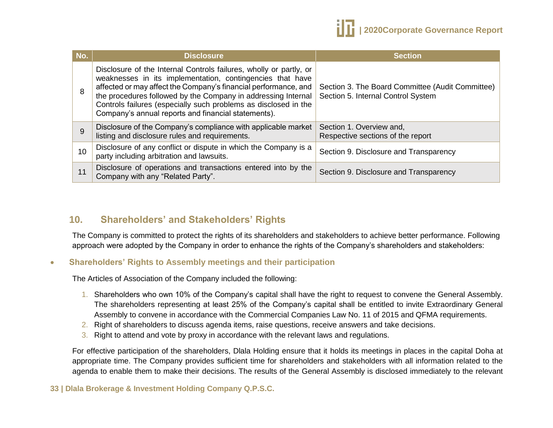

| No. | <b>Disclosure</b>                                                                                                                                                                                                                                                                                                                                                                             | <b>Section</b>                                                                         |
|-----|-----------------------------------------------------------------------------------------------------------------------------------------------------------------------------------------------------------------------------------------------------------------------------------------------------------------------------------------------------------------------------------------------|----------------------------------------------------------------------------------------|
| 8   | Disclosure of the Internal Controls failures, wholly or partly, or<br>weaknesses in its implementation, contingencies that have<br>affected or may affect the Company's financial performance, and<br>the procedures followed by the Company in addressing Internal<br>Controls failures (especially such problems as disclosed in the<br>Company's annual reports and financial statements). | Section 3. The Board Committee (Audit Committee)<br>Section 5. Internal Control System |
| 9   | Disclosure of the Company's compliance with applicable market<br>listing and disclosure rules and requirements.                                                                                                                                                                                                                                                                               | Section 1. Overview and,<br>Respective sections of the report                          |
| 10  | Disclosure of any conflict or dispute in which the Company is a<br>party including arbitration and lawsuits.                                                                                                                                                                                                                                                                                  | Section 9. Disclosure and Transparency                                                 |
| 11  | Disclosure of operations and transactions entered into by the<br>Company with any "Related Party".                                                                                                                                                                                                                                                                                            | Section 9. Disclosure and Transparency                                                 |

# <span id="page-32-0"></span>**10. Shareholders' and Stakeholders' Rights**

The Company is committed to protect the rights of its shareholders and stakeholders to achieve better performance. Following approach were adopted by the Company in order to enhance the rights of the Company's shareholders and stakeholders:

#### **Shareholders' Rights to Assembly meetings and their participation**

The Articles of Association of the Company included the following:

- 1. Shareholders who own 10% of the Company's capital shall have the right to request to convene the General Assembly. The shareholders representing at least 25% of the Company's capital shall be entitled to invite Extraordinary General Assembly to convene in accordance with the Commercial Companies Law No. 11 of 2015 and QFMA requirements.
- 2. Right of shareholders to discuss agenda items, raise questions, receive answers and take decisions.
- 3. Right to attend and vote by proxy in accordance with the relevant laws and regulations.

For effective participation of the shareholders, Dlala Holding ensure that it holds its meetings in places in the capital Doha at appropriate time. The Company provides sufficient time for shareholders and stakeholders with all information related to the agenda to enable them to make their decisions. The results of the General Assembly is disclosed immediately to the relevant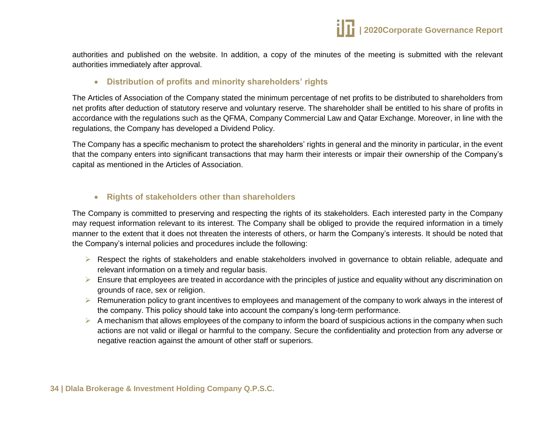authorities and published on the website. In addition, a copy of the minutes of the meeting is submitted with the relevant authorities immediately after approval.

#### **Distribution of profits and minority shareholders' rights**

The Articles of Association of the Company stated the minimum percentage of net profits to be distributed to shareholders from net profits after deduction of statutory reserve and voluntary reserve. The shareholder shall be entitled to his share of profits in accordance with the regulations such as the QFMA, Company Commercial Law and Qatar Exchange. Moreover, in line with the regulations, the Company has developed a Dividend Policy.

The Company has a specific mechanism to protect the shareholders' rights in general and the minority in particular, in the event that the company enters into significant transactions that may harm their interests or impair their ownership of the Company's capital as mentioned in the Articles of Association.

#### **Rights of stakeholders other than shareholders**

The Company is committed to preserving and respecting the rights of its stakeholders. Each interested party in the Company may request information relevant to its interest. The Company shall be obliged to provide the required information in a timely manner to the extent that it does not threaten the interests of others, or harm the Company's interests. It should be noted that the Company's internal policies and procedures include the following:

- Respect the rights of stakeholders and enable stakeholders involved in governance to obtain reliable, adequate and relevant information on a timely and regular basis.
- $\triangleright$  Ensure that employees are treated in accordance with the principles of justice and equality without any discrimination on grounds of race, sex or religion.
- $\triangleright$  Remuneration policy to grant incentives to employees and management of the company to work always in the interest of the company. This policy should take into account the company's long-term performance.
- $\triangleright$  A mechanism that allows employees of the company to inform the board of suspicious actions in the company when such actions are not valid or illegal or harmful to the company. Secure the confidentiality and protection from any adverse or negative reaction against the amount of other staff or superiors.